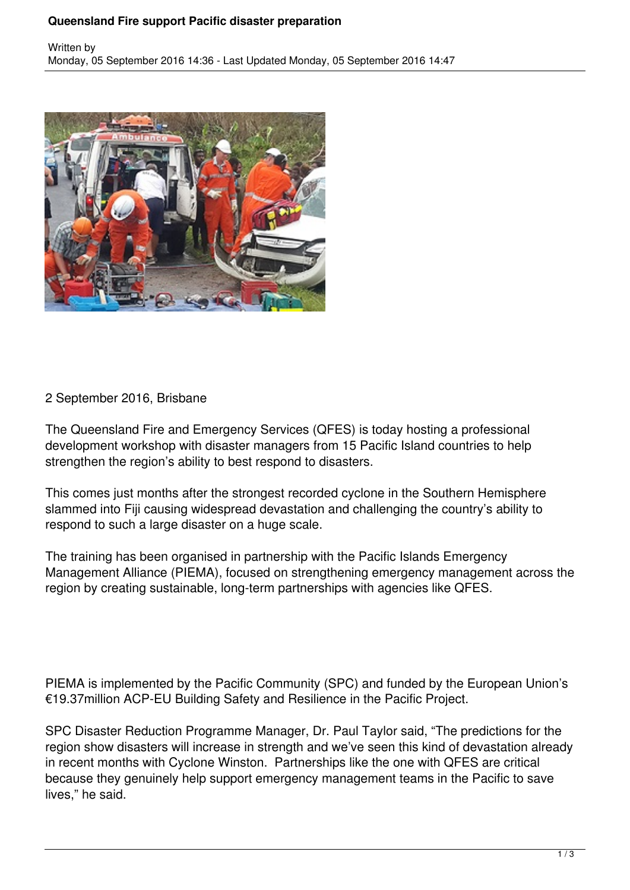## **Queensland Fire support Pacific disaster preparation**



## 2 September 2016, Brisbane

The Queensland Fire and Emergency Services (QFES) is today hosting a professional development workshop with disaster managers from 15 Pacific Island countries to help strengthen the region's ability to best respond to disasters.

This comes just months after the strongest recorded cyclone in the Southern Hemisphere slammed into Fiji causing widespread devastation and challenging the country's ability to respond to such a large disaster on a huge scale.

The training has been organised in partnership with the Pacific Islands Emergency Management Alliance (PIEMA), focused on strengthening emergency management across the region by creating sustainable, long-term partnerships with agencies like QFES.

PIEMA is implemented by the Pacific Community (SPC) and funded by the European Union's €19.37million ACP-EU Building Safety and Resilience in the Pacific Project.

SPC Disaster Reduction Programme Manager, Dr. Paul Taylor said, "The predictions for the region show disasters will increase in strength and we've seen this kind of devastation already in recent months with Cyclone Winston. Partnerships like the one with QFES are critical because they genuinely help support emergency management teams in the Pacific to save lives," he said.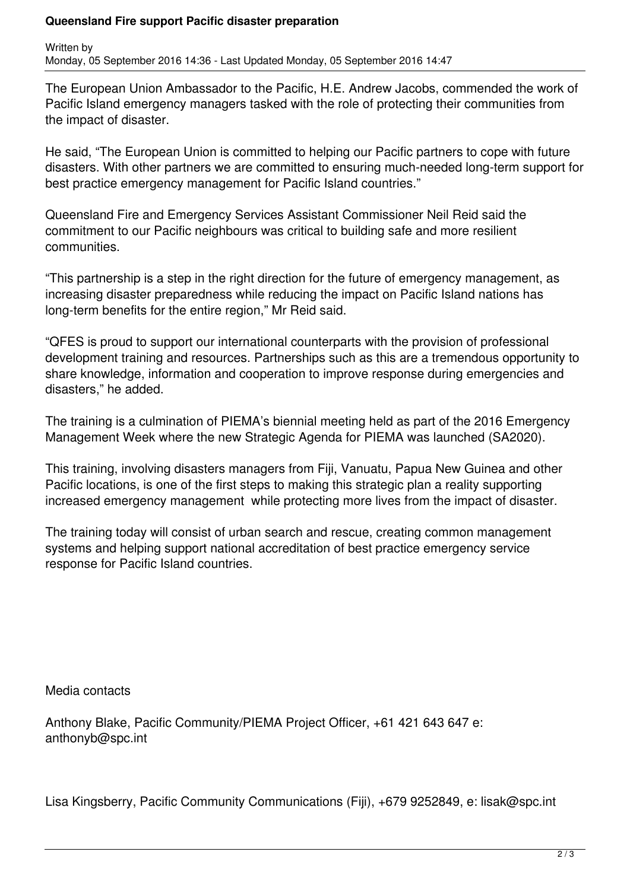## **Queensland Fire support Pacific disaster preparation**

Written by Monday, 05 September 2016 14:36 - Last Updated Monday, 05 September 2016 14:47

The European Union Ambassador to the Pacific, H.E. Andrew Jacobs, commended the work of Pacific Island emergency managers tasked with the role of protecting their communities from the impact of disaster.

He said, "The European Union is committed to helping our Pacific partners to cope with future disasters. With other partners we are committed to ensuring much-needed long-term support for best practice emergency management for Pacific Island countries."

Queensland Fire and Emergency Services Assistant Commissioner Neil Reid said the commitment to our Pacific neighbours was critical to building safe and more resilient communities.

"This partnership is a step in the right direction for the future of emergency management, as increasing disaster preparedness while reducing the impact on Pacific Island nations has long-term benefits for the entire region," Mr Reid said.

"QFES is proud to support our international counterparts with the provision of professional development training and resources. Partnerships such as this are a tremendous opportunity to share knowledge, information and cooperation to improve response during emergencies and disasters," he added.

The training is a culmination of PIEMA's biennial meeting held as part of the 2016 Emergency Management Week where the new Strategic Agenda for PIEMA was launched (SA2020).

This training, involving disasters managers from Fiji, Vanuatu, Papua New Guinea and other Pacific locations, is one of the first steps to making this strategic plan a reality supporting increased emergency management while protecting more lives from the impact of disaster.

The training today will consist of urban search and rescue, creating common management systems and helping support national accreditation of best practice emergency service response for Pacific Island countries.

Media contacts

Anthony Blake, Pacific Community/PIEMA Project Officer, +61 421 643 647 e: anthonyb@spc.int

Lisa Kingsberry, Pacific Community Communications (Fiji), +679 9252849, e: lisak@spc.int